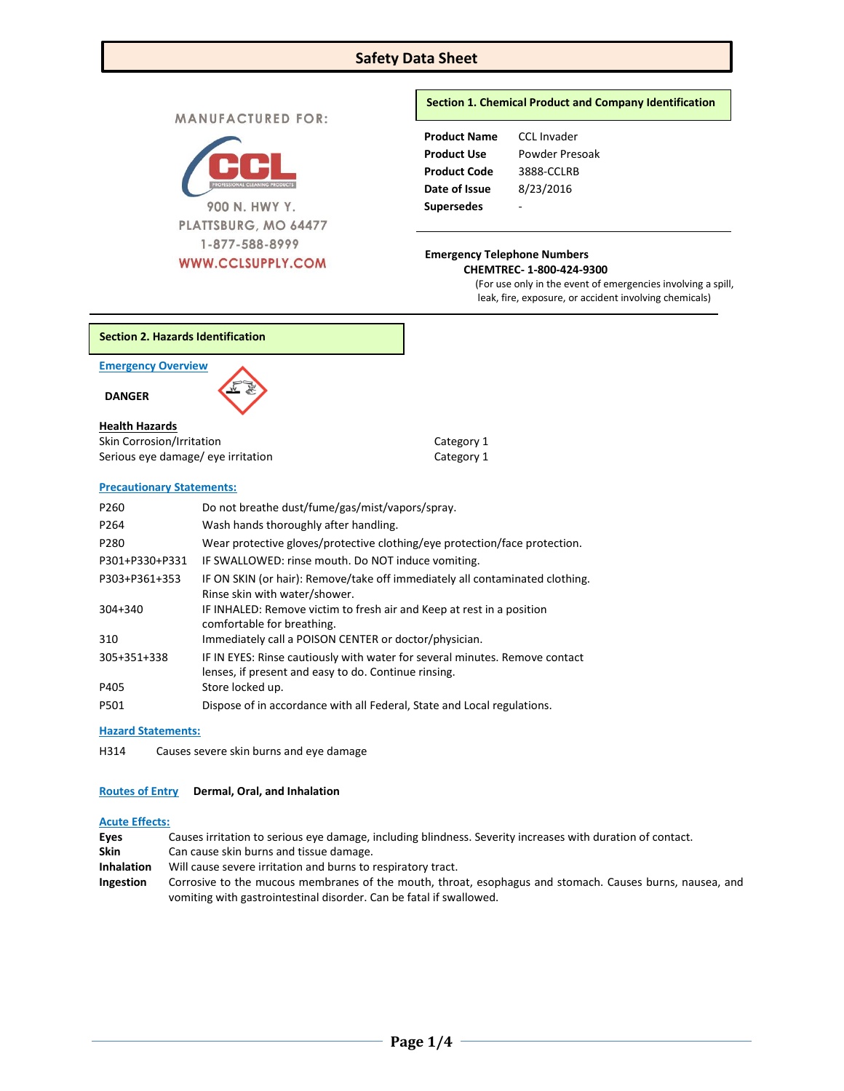# **Safety Data Sheet**

**MANUFACTURED FOR:** 



## **Section 1. Chemical Product and Company Identification**

| <b>Product Name</b> | CCL Invader    |
|---------------------|----------------|
| <b>Product Use</b>  | Powder Presoak |
| <b>Product Code</b> | 3888-CCLRB     |
| Date of Issue       | 8/23/2016      |
| <b>Supersedes</b>   |                |

# **CHEMTREC- 1-800-424-9300**

(For use only in the event of emergencies involving a spill, leak, fire, exposure, or accident involving chemicals)

**Section 2. Hazards Identification**

**Emergency Overview** 

 **DANGER** 

#### **Health Hazards**

| Skin Corrosion/Irritation          | Category 1 |
|------------------------------------|------------|
| Serious eye damage/ eye irritation | Category 1 |

## **Precautionary Statements:**

| P <sub>260</sub> | Do not breathe dust/fume/gas/mist/vapors/spray.                              |
|------------------|------------------------------------------------------------------------------|
| P <sub>264</sub> | Wash hands thoroughly after handling.                                        |
| P280             | Wear protective gloves/protective clothing/eye protection/face protection.   |
| P301+P330+P331   | IF SWALLOWED: rinse mouth. Do NOT induce vomiting.                           |
| P303+P361+353    | IF ON SKIN (or hair): Remove/take off immediately all contaminated clothing. |
|                  | Rinse skin with water/shower.                                                |
| $304 + 340$      | IF INHALED: Remove victim to fresh air and Keep at rest in a position        |
|                  | comfortable for breathing.                                                   |
| 310              | Immediately call a POISON CENTER or doctor/physician.                        |
| 305+351+338      | IF IN EYES: Rinse cautiously with water for several minutes. Remove contact  |
|                  | lenses, if present and easy to do. Continue rinsing.                         |
| P405             | Store locked up.                                                             |
| P501             | Dispose of in accordance with all Federal, State and Local regulations.      |

#### **Hazard Statements:**

H314 Causes severe skin burns and eye damage

#### **Routes of Entry Dermal, Oral, and Inhalation**

#### **Acute Effects:**

| Eyes              | Causes irritation to serious eye damage, including blindness. Severity increases with duration of contact.                                                                      |
|-------------------|---------------------------------------------------------------------------------------------------------------------------------------------------------------------------------|
| <b>Skin</b>       | Can cause skin burns and tissue damage.                                                                                                                                         |
| <b>Inhalation</b> | Will cause severe irritation and burns to respiratory tract.                                                                                                                    |
| Ingestion         | Corrosive to the mucous membranes of the mouth, throat, esophagus and stomach. Causes burns, nausea, and<br>vomiting with gastrointestinal disorder. Can be fatal if swallowed. |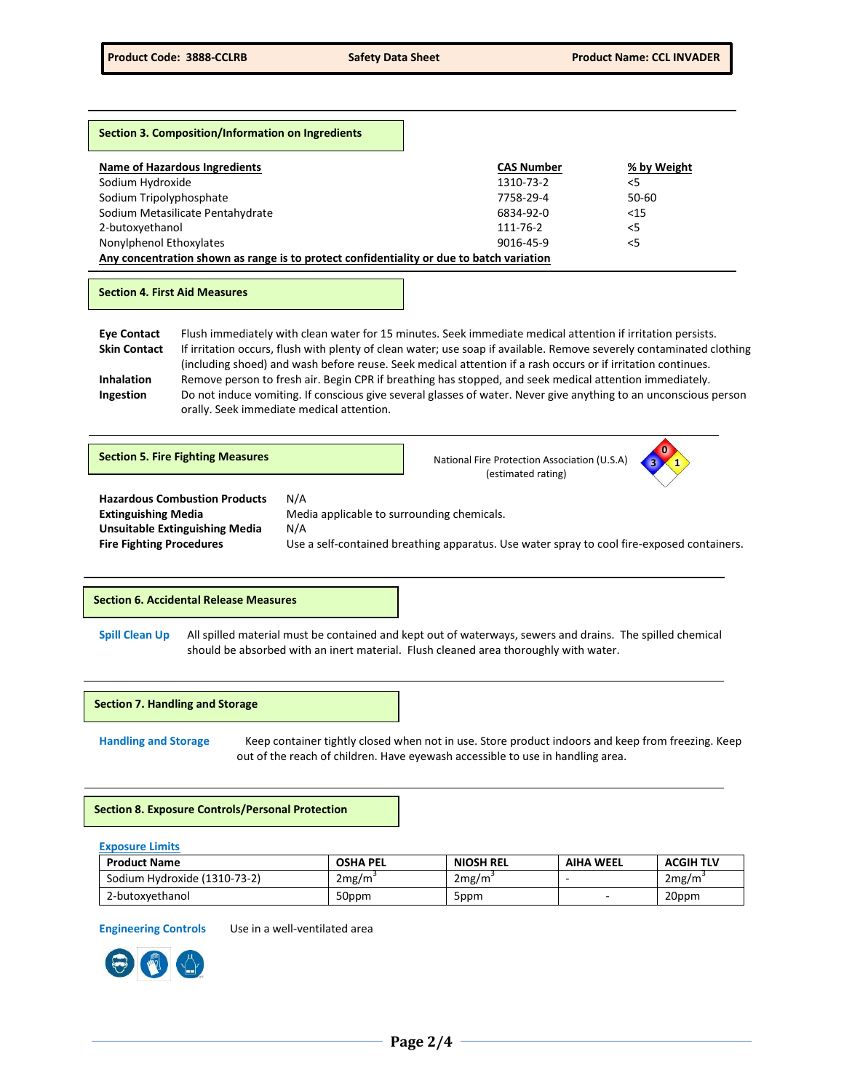| Section 3. Composition/Information on Ingredients                                        |                   |             |
|------------------------------------------------------------------------------------------|-------------------|-------------|
| <b>Name of Hazardous Ingredients</b>                                                     | <b>CAS Number</b> | % by Weight |
| Sodium Hydroxide                                                                         | 1310-73-2         | < 5         |
| Sodium Tripolyphosphate                                                                  | 7758-29-4         | 50-60       |
| Sodium Metasilicate Pentahydrate                                                         | 6834-92-0         | < 15        |
| 2-butoxyethanol                                                                          | 111-76-2          | < 5         |
| Nonylphenol Ethoxylates                                                                  | 9016-45-9         | $<$ 5       |
| Any concentration shown as range is to protect confidentiality or due to batch variation |                   |             |

### **Section 4. First Aid Measures**

**Eye Contact** Flush immediately with clean water for 15 minutes. Seek immediate medical attention if irritation persists. **Skin Contact** If irritation occurs, flush with plenty of clean water; use soap if available. Remove severely contaminated clothing (including shoed) and wash before reuse. Seek medical attention if a rash occurs or if irritation continues. **Inhalation** Remove person to fresh air. Begin CPR if breathing has stopped, and seek medical attention immediately. **Ingestion** Do not induce vomiting. If conscious give several glasses of water. Never give anything to an unconscious person orally. Seek immediate medical attention.

| <b>Section 5. Fire Fighting Measures</b>                                                                                                       |                                                          | National Fire Protection Association (U.S.A)<br>(estimated rating)                         | $\bf{0}$ |
|------------------------------------------------------------------------------------------------------------------------------------------------|----------------------------------------------------------|--------------------------------------------------------------------------------------------|----------|
| <b>Hazardous Combustion Products</b><br><b>Extinguishing Media</b><br><b>Unsuitable Extinguishing Media</b><br><b>Fire Fighting Procedures</b> | N/A<br>Media applicable to surrounding chemicals.<br>N/A | Use a self-contained breathing apparatus. Use water spray to cool fire-exposed containers. |          |

#### **Section 6. Accidental Release Measures**

**Spill Clean Up** All spilled material must be contained and kept out of waterways, sewers and drains. The spilled chemical should be absorbed with an inert material. Flush cleaned area thoroughly with water.

#### **Section 7. Handling and Storage**

**Handling and Storage** Keep container tightly closed when not in use. Store product indoors and keep from freezing. Keep out of the reach of children. Have eyewash accessible to use in handling area.

## **Section 8. Exposure Controls/Personal Protection**

**Exposure Limits**

| <b>Product Name</b>          | <b>OSHA PEL</b> | <b>NIOSH REL</b> | <b>AIHA WEEL</b> | <b>ACGIH TLV</b> |
|------------------------------|-----------------|------------------|------------------|------------------|
| Sodium Hydroxide (1310-73-2) | 2mg/m           | 2mg/m            |                  | 2mg/m            |
| 2-butoxyethanol              | 50ppm           | 5ppm             |                  | 20ppm            |

**Engineering Controls** Use in a well-ventilated area

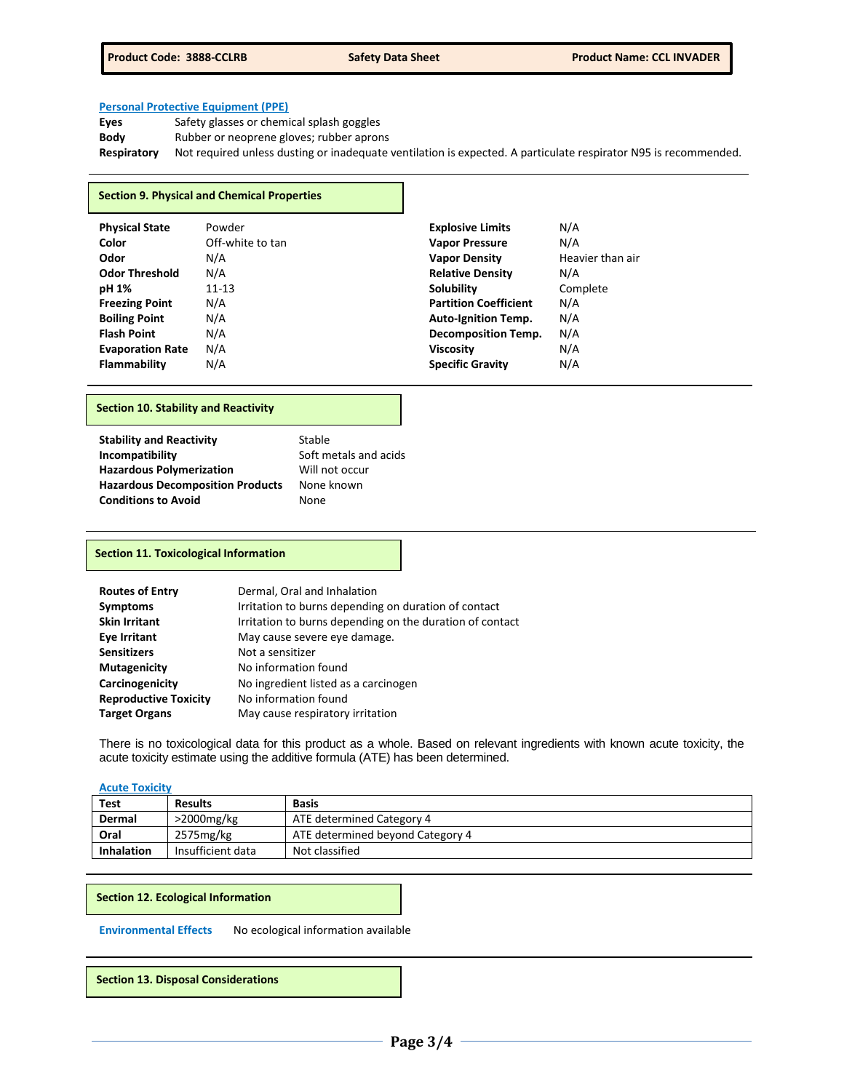## **Personal Protective Equipment (PPE)**

| Eyes               | Safety glasses or chemical splash goggles                                                                       |
|--------------------|-----------------------------------------------------------------------------------------------------------------|
| Body               | Rubber or neoprene gloves; rubber aprons                                                                        |
| <b>Respiratory</b> | Not required unless dusting or inadequate ventilation is expected. A particulate respirator N95 is recommended. |

## **Section 9. Physical and Chemical Properties**

| <b>Physical State</b><br>Color | Powder<br>Off-white to tan | <b>Explosive Limits</b><br><b>Vapor Pressure</b> | N/A<br>N/A       |
|--------------------------------|----------------------------|--------------------------------------------------|------------------|
| Odor                           | N/A                        | <b>Vapor Density</b>                             | Heavier than air |
| <b>Odor Threshold</b>          | N/A                        | <b>Relative Density</b>                          | N/A              |
| pH 1%                          | $11 - 13$                  | <b>Solubility</b>                                | Complete         |
| <b>Freezing Point</b>          | N/A                        | <b>Partition Coefficient</b>                     | N/A              |
| <b>Boiling Point</b>           | N/A                        | <b>Auto-Ignition Temp.</b>                       | N/A              |
| <b>Flash Point</b>             | N/A                        | <b>Decomposition Temp.</b>                       | N/A              |
| <b>Evaporation Rate</b>        | N/A                        | <b>Viscosity</b>                                 | N/A              |
| <b>Flammability</b>            | N/A                        | <b>Specific Gravity</b>                          | N/A              |

## **Section 10. Stability and Reactivity**

| <b>Stability and Reactivity</b>         | Stable                |
|-----------------------------------------|-----------------------|
| Incompatibility                         | Soft metals and acids |
| <b>Hazardous Polymerization</b>         | Will not occur        |
| <b>Hazardous Decomposition Products</b> | None known            |
| <b>Conditions to Avoid</b>              | None                  |

## **Section 11. Toxicological Information**

| <b>Routes of Entry</b>       | Dermal, Oral and Inhalation                              |
|------------------------------|----------------------------------------------------------|
| <b>Symptoms</b>              | Irritation to burns depending on duration of contact     |
| <b>Skin Irritant</b>         | Irritation to burns depending on the duration of contact |
| <b>Eve Irritant</b>          | May cause severe eye damage.                             |
| <b>Sensitizers</b>           | Not a sensitizer                                         |
| <b>Mutagenicity</b>          | No information found                                     |
| Carcinogenicity              | No ingredient listed as a carcinogen                     |
| <b>Reproductive Toxicity</b> | No information found                                     |
| <b>Target Organs</b>         | May cause respiratory irritation                         |

There is no toxicological data for this product as a whole. Based on relevant ingredients with known acute toxicity, the acute toxicity estimate using the additive formula (ATE) has been determined.

## **Acute Toxicity**

| <b>Test</b>       | <b>Results</b>    | <b>Basis</b>                     |
|-------------------|-------------------|----------------------------------|
| Dermal            | $>$ 2000 $mg/kg$  | ATE determined Category 4        |
| Oral              | 2575mg/kg         | ATE determined beyond Category 4 |
| <b>Inhalation</b> | Insufficient data | Not classified                   |

#### **Section 12. Ecological Information**

**Environmental Effects** No ecological information available

**Section 13. Disposal Considerations**